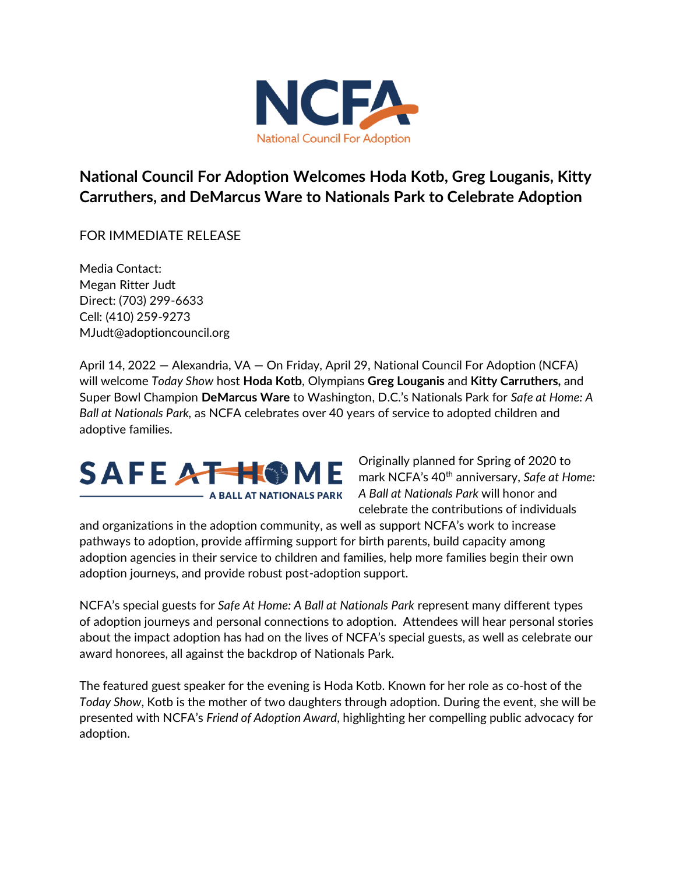

**National Council For Adoption Welcomes Hoda Kotb, Greg Louganis, Kitty Carruthers, and DeMarcus Ware to Nationals Park to Celebrate Adoption** 

FOR IMMEDIATE RELEASE

Media Contact: Megan Ritter Judt Direct: (703) 299-6633 Cell: (410) 259-9273 MJudt@adoptioncouncil.org

April 14, 2022 — Alexandria, VA — On Friday, April 29, National Council For Adoption (NCFA) will welcome *Today Show* host **Hoda Kotb**, Olympians **Greg Louganis** and **Kitty Carruthers,** and Super Bowl Champion **DeMarcus Ware** to Washington, D.C.'s Nationals Park for *Safe at Home: A Ball at Nationals Park,* as NCFA celebrates over 40 years of service to adopted children and adoptive families.



Originally planned for Spring of 2020 to mark NCFA's 40<sup>th</sup> anniversary, Safe at Home: *A Ball at Nationals Park* will honor and celebrate the contributions of individuals

and organizations in the adoption community, as well as support NCFA's work to increase pathways to adoption, provide affirming support for birth parents, build capacity among adoption agencies in their service to children and families, help more families begin their own adoption journeys, and provide robust post-adoption support.

NCFA's special guests for *Safe At Home: A Ball at Nationals Park* represent many different types of adoption journeys and personal connections to adoption. Attendees will hear personal stories about the impact adoption has had on the lives of NCFA's special guests, as well as celebrate our award honorees, all against the backdrop of Nationals Park.

The featured guest speaker for the evening is Hoda Kotb. Known for her role as co-host of the *Today Show*, Kotb is the mother of two daughters through adoption. During the event, she will be presented with NCFA's *Friend of Adoption Award*, highlighting her compelling public advocacy for adoption.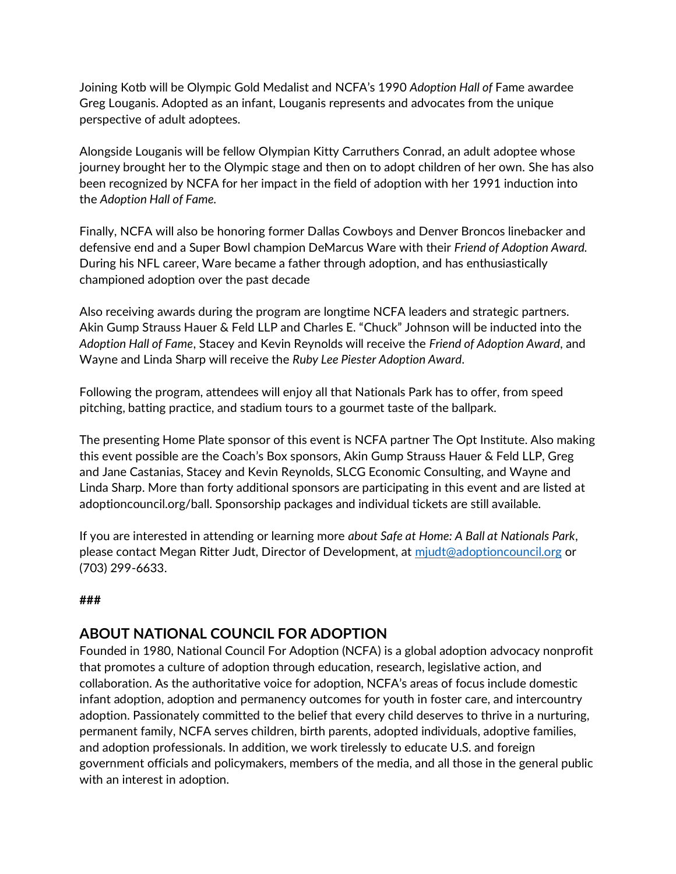Joining Kotb will be Olympic Gold Medalist and NCFA's 1990 *Adoption Hall of* Fame awardee Greg Louganis. Adopted as an infant, Louganis represents and advocates from the unique perspective of adult adoptees.

Alongside Louganis will be fellow Olympian Kitty Carruthers Conrad, an adult adoptee whose journey brought her to the Olympic stage and then on to adopt children of her own. She has also been recognized by NCFA for her impact in the field of adoption with her 1991 induction into the *Adoption Hall of Fame.* 

Finally, NCFA will also be honoring former Dallas Cowboys and Denver Broncos linebacker and defensive end and a Super Bowl champion DeMarcus Ware with their *Friend of Adoption Award.* During his NFL career, Ware became a father through adoption, and has enthusiastically championed adoption over the past decade

Also receiving awards during the program are longtime NCFA leaders and strategic partners. Akin Gump Strauss Hauer & Feld LLP and Charles E. "Chuck" Johnson will be inducted into the *Adoption Hall of Fame*, Stacey and Kevin Reynolds will receive the *Friend of Adoption Award*, and Wayne and Linda Sharp will receive the *Ruby Lee Piester Adoption Award*.

Following the program, attendees will enjoy all that Nationals Park has to offer, from speed pitching, batting practice, and stadium tours to a gourmet taste of the ballpark.

The presenting Home Plate sponsor of this event is NCFA partner The Opt Institute. Also making this event possible are the Coach's Box sponsors, Akin Gump Strauss Hauer & Feld LLP, Greg and Jane Castanias, Stacey and Kevin Reynolds, SLCG Economic Consulting, and Wayne and Linda Sharp. More than forty additional sponsors are participating in this event and are listed at adoptioncouncil.org/ball. Sponsorship packages and individual tickets are still available.

If you are interested in attending or learning more *about Safe at Home: A Ball at Nationals Park*, please contact Megan Ritter Judt, Director of Development, at [mjudt@adoptioncouncil.org](mailto:mjudt@adoptioncouncil.org) or (703) 299-6633.

## **###**

## **ABOUT NATIONAL COUNCIL FOR ADOPTION**

Founded in 1980, National Council For Adoption (NCFA) is a global adoption advocacy nonprofit that promotes a culture of adoption through education, research, legislative action, and collaboration. As the authoritative voice for adoption, NCFA's areas of focus include domestic infant adoption, adoption and permanency outcomes for youth in foster care, and intercountry adoption. Passionately committed to the belief that every child deserves to thrive in a nurturing, permanent family, NCFA serves children, birth parents, adopted individuals, adoptive families, and adoption professionals. In addition, we work tirelessly to educate U.S. and foreign government officials and policymakers, members of the media, and all those in the general public with an interest in adoption.